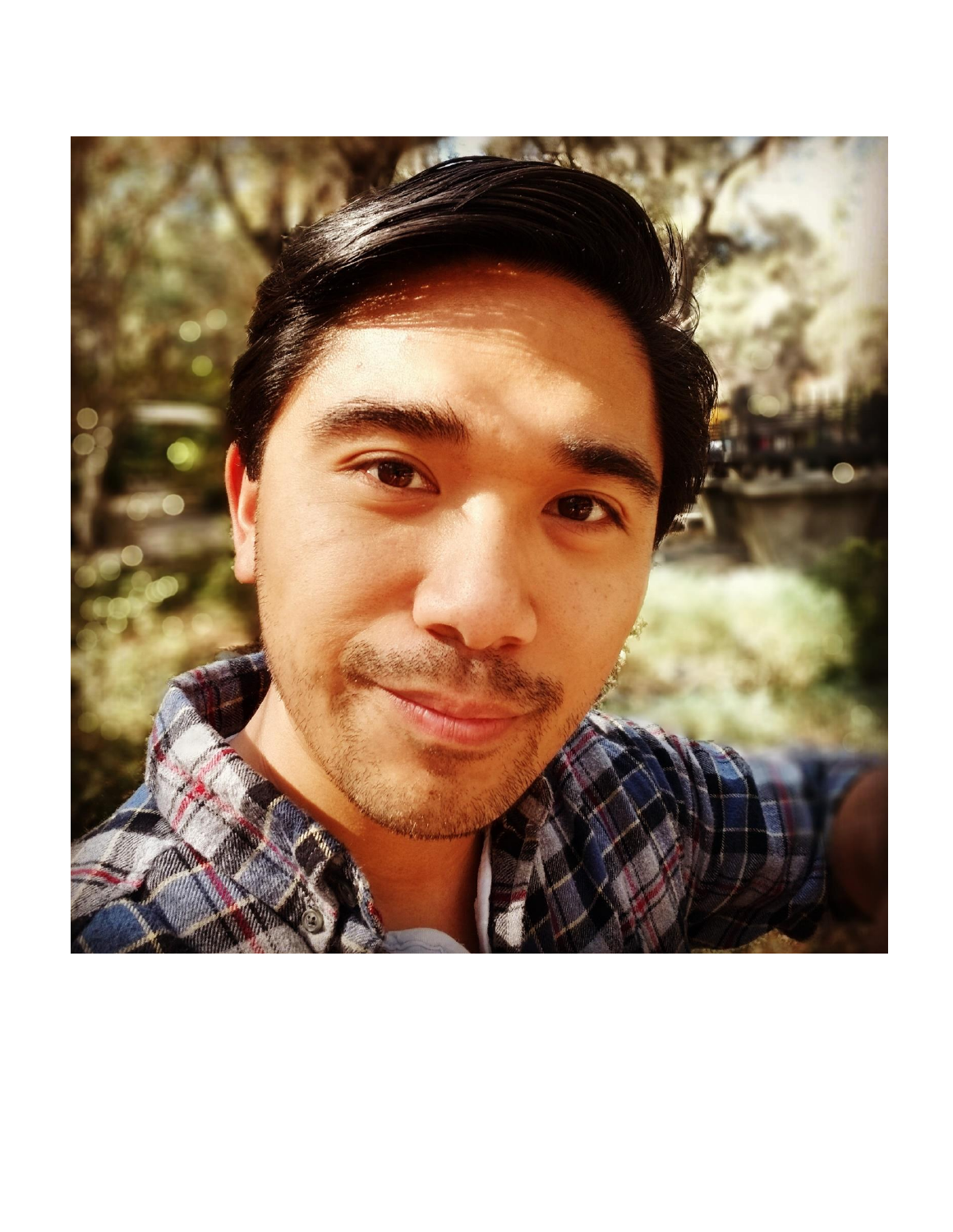